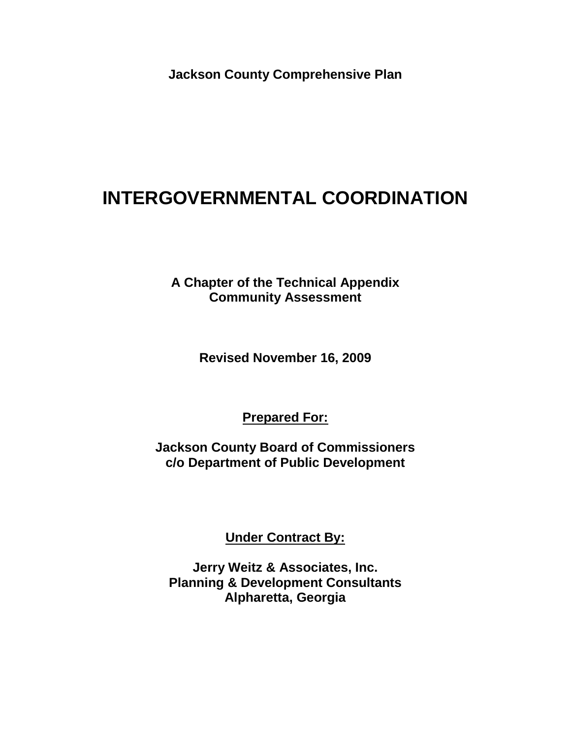**Jackson County Comprehensive Plan**

# **INTERGOVERNMENTAL COORDINATION**

**A Chapter of the Technical Appendix Community Assessment** 

**Revised November 16, 2009**

**Prepared For:**

**Jackson County Board of Commissioners c/o Department of Public Development**

**Under Contract By:**

**Jerry Weitz & Associates, Inc. Planning & Development Consultants Alpharetta, Georgia**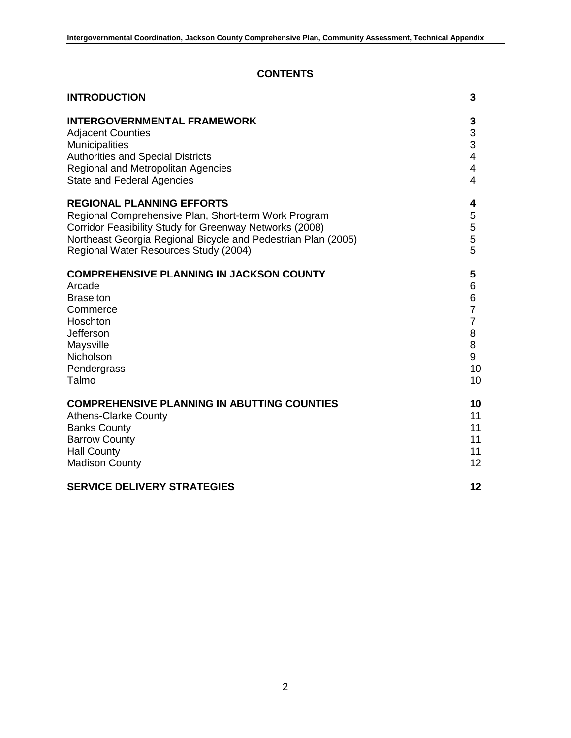# **CONTENTS**

| <b>INTRODUCTION</b>                                           | 3                       |
|---------------------------------------------------------------|-------------------------|
| <b>INTERGOVERNMENTAL FRAMEWORK</b>                            | 3                       |
| <b>Adjacent Counties</b>                                      | 3                       |
| <b>Municipalities</b>                                         | 3                       |
| <b>Authorities and Special Districts</b>                      | $\overline{\mathbf{4}}$ |
| <b>Regional and Metropolitan Agencies</b>                     | 4                       |
| <b>State and Federal Agencies</b>                             | $\overline{4}$          |
| <b>REGIONAL PLANNING EFFORTS</b>                              | 4                       |
| Regional Comprehensive Plan, Short-term Work Program          | 5                       |
| Corridor Feasibility Study for Greenway Networks (2008)       | 5                       |
| Northeast Georgia Regional Bicycle and Pedestrian Plan (2005) | 5                       |
| Regional Water Resources Study (2004)                         | 5                       |
| <b>COMPREHENSIVE PLANNING IN JACKSON COUNTY</b>               | 5                       |
| Arcade                                                        | 6                       |
| <b>Braselton</b>                                              | 6                       |
| Commerce                                                      | $\overline{7}$          |
| Hoschton                                                      | $\overline{7}$          |
| Jefferson                                                     | 8                       |
| Maysville                                                     | 8                       |
| Nicholson                                                     | 9                       |
| Pendergrass                                                   | 10                      |
| Talmo                                                         | 10                      |
| <b>COMPREHENSIVE PLANNING IN ABUTTING COUNTIES</b>            | 10                      |
| <b>Athens-Clarke County</b>                                   | 11                      |
| <b>Banks County</b>                                           | 11                      |
| <b>Barrow County</b>                                          | 11                      |
| <b>Hall County</b>                                            | 11                      |
| <b>Madison County</b>                                         | 12                      |
| <b>SERVICE DELIVERY STRATEGIES</b>                            | 12                      |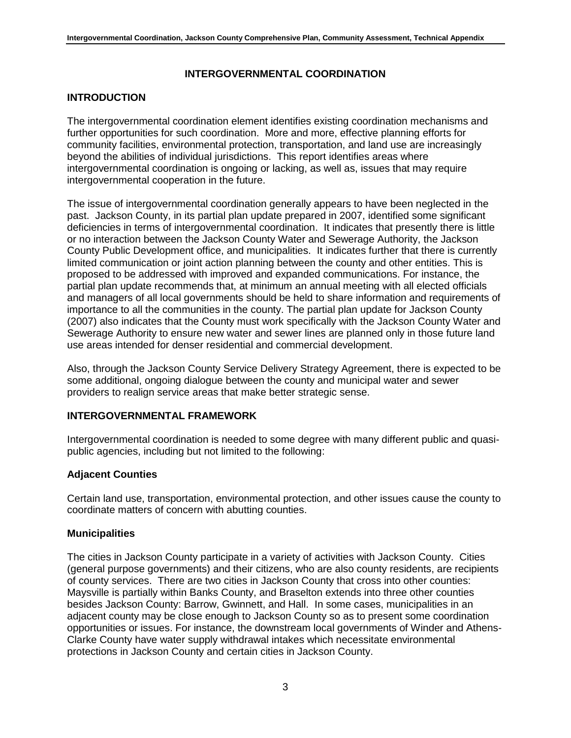# **INTERGOVERNMENTAL COORDINATION**

# **INTRODUCTION**

The intergovernmental coordination element identifies existing coordination mechanisms and further opportunities for such coordination. More and more, effective planning efforts for community facilities, environmental protection, transportation, and land use are increasingly beyond the abilities of individual jurisdictions. This report identifies areas where intergovernmental coordination is ongoing or lacking, as well as, issues that may require intergovernmental cooperation in the future.

The issue of intergovernmental coordination generally appears to have been neglected in the past. Jackson County, in its partial plan update prepared in 2007, identified some significant deficiencies in terms of intergovernmental coordination. It indicates that presently there is little or no interaction between the Jackson County Water and Sewerage Authority, the Jackson County Public Development office, and municipalities. It indicates further that there is currently limited communication or joint action planning between the county and other entities. This is proposed to be addressed with improved and expanded communications. For instance, the partial plan update recommends that, at minimum an annual meeting with all elected officials and managers of all local governments should be held to share information and requirements of importance to all the communities in the county. The partial plan update for Jackson County (2007) also indicates that the County must work specifically with the Jackson County Water and Sewerage Authority to ensure new water and sewer lines are planned only in those future land use areas intended for denser residential and commercial development.

Also, through the Jackson County Service Delivery Strategy Agreement, there is expected to be some additional, ongoing dialogue between the county and municipal water and sewer providers to realign service areas that make better strategic sense.

# **INTERGOVERNMENTAL FRAMEWORK**

Intergovernmental coordination is needed to some degree with many different public and quasipublic agencies, including but not limited to the following:

# **Adjacent Counties**

Certain land use, transportation, environmental protection, and other issues cause the county to coordinate matters of concern with abutting counties.

#### **Municipalities**

The cities in Jackson County participate in a variety of activities with Jackson County. Cities (general purpose governments) and their citizens, who are also county residents, are recipients of county services. There are two cities in Jackson County that cross into other counties: Maysville is partially within Banks County, and Braselton extends into three other counties besides Jackson County: Barrow, Gwinnett, and Hall. In some cases, municipalities in an adjacent county may be close enough to Jackson County so as to present some coordination opportunities or issues. For instance, the downstream local governments of Winder and Athens-Clarke County have water supply withdrawal intakes which necessitate environmental protections in Jackson County and certain cities in Jackson County.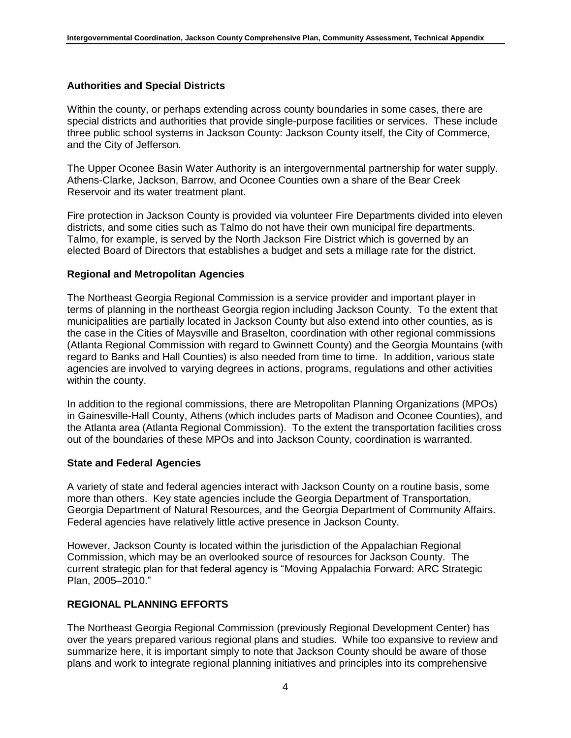#### **Authorities and Special Districts**

Within the county, or perhaps extending across county boundaries in some cases, there are special districts and authorities that provide single-purpose facilities or services. These include three public school systems in Jackson County: Jackson County itself, the City of Commerce, and the City of Jefferson.

The Upper Oconee Basin Water Authority is an intergovernmental partnership for water supply. Athens-Clarke, Jackson, Barrow, and Oconee Counties own a share of the Bear Creek Reservoir and its water treatment plant.

Fire protection in Jackson County is provided via volunteer Fire Departments divided into eleven districts, and some cities such as Talmo do not have their own municipal fire departments. Talmo, for example, is served by the North Jackson Fire District which is governed by an elected Board of Directors that establishes a budget and sets a millage rate for the district.

#### **Regional and Metropolitan Agencies**

The Northeast Georgia Regional Commission is a service provider and important player in terms of planning in the northeast Georgia region including Jackson County. To the extent that municipalities are partially located in Jackson County but also extend into other counties, as is the case in the Cities of Maysville and Braselton, coordination with other regional commissions (Atlanta Regional Commission with regard to Gwinnett County) and the Georgia Mountains (with regard to Banks and Hall Counties) is also needed from time to time. In addition, various state agencies are involved to varying degrees in actions, programs, regulations and other activities within the county.

In addition to the regional commissions, there are Metropolitan Planning Organizations (MPOs) in Gainesville-Hall County, Athens (which includes parts of Madison and Oconee Counties), and the Atlanta area (Atlanta Regional Commission). To the extent the transportation facilities cross out of the boundaries of these MPOs and into Jackson County, coordination is warranted.

#### **State and Federal Agencies**

A variety of state and federal agencies interact with Jackson County on a routine basis, some more than others. Key state agencies include the Georgia Department of Transportation, Georgia Department of Natural Resources, and the Georgia Department of Community Affairs. Federal agencies have relatively little active presence in Jackson County.

However, Jackson County is located within the jurisdiction of the Appalachian Regional Commission, which may be an overlooked source of resources for Jackson County. The current strategic plan for that federal agency is "Moving Appalachia Forward: ARC Strategic Plan, 2005–2010."

#### **REGIONAL PLANNING EFFORTS**

The Northeast Georgia Regional Commission (previously Regional Development Center) has over the years prepared various regional plans and studies. While too expansive to review and summarize here, it is important simply to note that Jackson County should be aware of those plans and work to integrate regional planning initiatives and principles into its comprehensive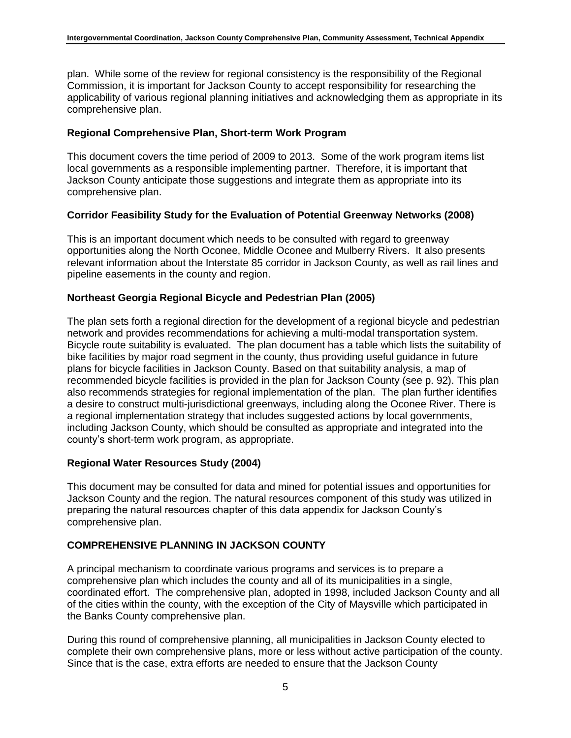plan. While some of the review for regional consistency is the responsibility of the Regional Commission, it is important for Jackson County to accept responsibility for researching the applicability of various regional planning initiatives and acknowledging them as appropriate in its comprehensive plan.

# **Regional Comprehensive Plan, Short-term Work Program**

This document covers the time period of 2009 to 2013. Some of the work program items list local governments as a responsible implementing partner. Therefore, it is important that Jackson County anticipate those suggestions and integrate them as appropriate into its comprehensive plan.

#### **Corridor Feasibility Study for the Evaluation of Potential Greenway Networks (2008)**

This is an important document which needs to be consulted with regard to greenway opportunities along the North Oconee, Middle Oconee and Mulberry Rivers. It also presents relevant information about the Interstate 85 corridor in Jackson County, as well as rail lines and pipeline easements in the county and region.

#### **Northeast Georgia Regional Bicycle and Pedestrian Plan (2005)**

The plan sets forth a regional direction for the development of a regional bicycle and pedestrian network and provides recommendations for achieving a multi-modal transportation system. Bicycle route suitability is evaluated. The plan document has a table which lists the suitability of bike facilities by major road segment in the county, thus providing useful guidance in future plans for bicycle facilities in Jackson County. Based on that suitability analysis, a map of recommended bicycle facilities is provided in the plan for Jackson County (see p. 92). This plan also recommends strategies for regional implementation of the plan. The plan further identifies a desire to construct multi-jurisdictional greenways, including along the Oconee River. There is a regional implementation strategy that includes suggested actions by local governments, including Jackson County, which should be consulted as appropriate and integrated into the county's short-term work program, as appropriate.

#### **Regional Water Resources Study (2004)**

This document may be consulted for data and mined for potential issues and opportunities for Jackson County and the region. The natural resources component of this study was utilized in preparing the natural resources chapter of this data appendix for Jackson County's comprehensive plan.

# **COMPREHENSIVE PLANNING IN JACKSON COUNTY**

A principal mechanism to coordinate various programs and services is to prepare a comprehensive plan which includes the county and all of its municipalities in a single, coordinated effort. The comprehensive plan, adopted in 1998, included Jackson County and all of the cities within the county, with the exception of the City of Maysville which participated in the Banks County comprehensive plan.

During this round of comprehensive planning, all municipalities in Jackson County elected to complete their own comprehensive plans, more or less without active participation of the county. Since that is the case, extra efforts are needed to ensure that the Jackson County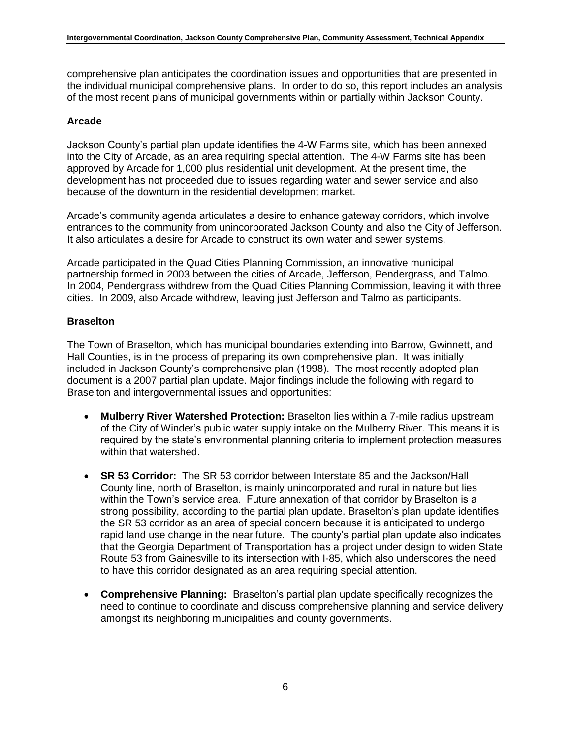comprehensive plan anticipates the coordination issues and opportunities that are presented in the individual municipal comprehensive plans. In order to do so, this report includes an analysis of the most recent plans of municipal governments within or partially within Jackson County.

# **Arcade**

Jackson County's partial plan update identifies the 4-W Farms site, which has been annexed into the City of Arcade, as an area requiring special attention. The 4-W Farms site has been approved by Arcade for 1,000 plus residential unit development. At the present time, the development has not proceeded due to issues regarding water and sewer service and also because of the downturn in the residential development market.

Arcade's community agenda articulates a desire to enhance gateway corridors, which involve entrances to the community from unincorporated Jackson County and also the City of Jefferson. It also articulates a desire for Arcade to construct its own water and sewer systems.

Arcade participated in the Quad Cities Planning Commission, an innovative municipal partnership formed in 2003 between the cities of Arcade, Jefferson, Pendergrass, and Talmo. In 2004, Pendergrass withdrew from the Quad Cities Planning Commission, leaving it with three cities. In 2009, also Arcade withdrew, leaving just Jefferson and Talmo as participants.

#### **Braselton**

The Town of Braselton, which has municipal boundaries extending into Barrow, Gwinnett, and Hall Counties, is in the process of preparing its own comprehensive plan. It was initially included in Jackson County's comprehensive plan (1998). The most recently adopted plan document is a 2007 partial plan update. Major findings include the following with regard to Braselton and intergovernmental issues and opportunities:

- **Mulberry River Watershed Protection:** Braselton lies within a 7-mile radius upstream of the City of Winder's public water supply intake on the Mulberry River. This means it is required by the state's environmental planning criteria to implement protection measures within that watershed.
- **SR 53 Corridor:** The SR 53 corridor between Interstate 85 and the Jackson/Hall County line, north of Braselton, is mainly unincorporated and rural in nature but lies within the Town's service area. Future annexation of that corridor by Braselton is a strong possibility, according to the partial plan update. Braselton's plan update identifies the SR 53 corridor as an area of special concern because it is anticipated to undergo rapid land use change in the near future. The county's partial plan update also indicates that the Georgia Department of Transportation has a project under design to widen State Route 53 from Gainesville to its intersection with I-85, which also underscores the need to have this corridor designated as an area requiring special attention.
- **Comprehensive Planning:** Braselton's partial plan update specifically recognizes the need to continue to coordinate and discuss comprehensive planning and service delivery amongst its neighboring municipalities and county governments.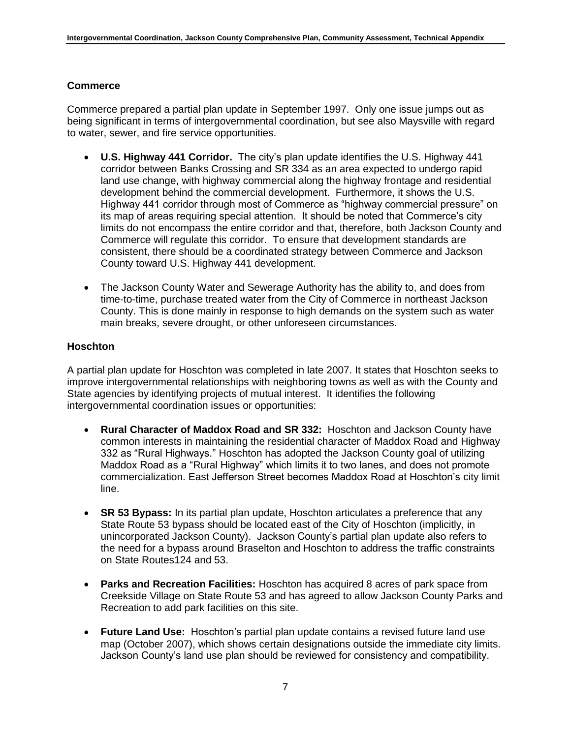# **Commerce**

Commerce prepared a partial plan update in September 1997. Only one issue jumps out as being significant in terms of intergovernmental coordination, but see also Maysville with regard to water, sewer, and fire service opportunities.

- **U.S. Highway 441 Corridor.** The city's plan update identifies the U.S. Highway 441 corridor between Banks Crossing and SR 334 as an area expected to undergo rapid land use change, with highway commercial along the highway frontage and residential development behind the commercial development. Furthermore, it shows the U.S. Highway 441 corridor through most of Commerce as "highway commercial pressure" on its map of areas requiring special attention. It should be noted that Commerce's city limits do not encompass the entire corridor and that, therefore, both Jackson County and Commerce will regulate this corridor. To ensure that development standards are consistent, there should be a coordinated strategy between Commerce and Jackson County toward U.S. Highway 441 development.
- The Jackson County Water and Sewerage Authority has the ability to, and does from time-to-time, purchase treated water from the City of Commerce in northeast Jackson County. This is done mainly in response to high demands on the system such as water main breaks, severe drought, or other unforeseen circumstances.

# **Hoschton**

A partial plan update for Hoschton was completed in late 2007. It states that Hoschton seeks to improve intergovernmental relationships with neighboring towns as well as with the County and State agencies by identifying projects of mutual interest. It identifies the following intergovernmental coordination issues or opportunities:

- **Rural Character of Maddox Road and SR 332:** Hoschton and Jackson County have common interests in maintaining the residential character of Maddox Road and Highway 332 as "Rural Highways." Hoschton has adopted the Jackson County goal of utilizing Maddox Road as a "Rural Highway" which limits it to two lanes, and does not promote commercialization. East Jefferson Street becomes Maddox Road at Hoschton's city limit line.
- **SR 53 Bypass:** In its partial plan update, Hoschton articulates a preference that any State Route 53 bypass should be located east of the City of Hoschton (implicitly, in unincorporated Jackson County). Jackson County's partial plan update also refers to the need for a bypass around Braselton and Hoschton to address the traffic constraints on State Routes124 and 53.
- **Parks and Recreation Facilities:** Hoschton has acquired 8 acres of park space from Creekside Village on State Route 53 and has agreed to allow Jackson County Parks and Recreation to add park facilities on this site.
- **Future Land Use:** Hoschton's partial plan update contains a revised future land use map (October 2007), which shows certain designations outside the immediate city limits. Jackson County's land use plan should be reviewed for consistency and compatibility.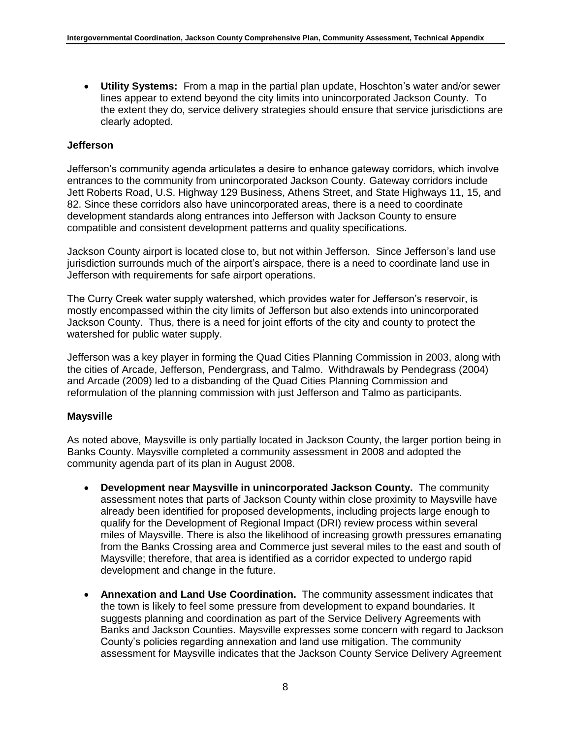**Utility Systems:** From a map in the partial plan update, Hoschton's water and/or sewer lines appear to extend beyond the city limits into unincorporated Jackson County. To the extent they do, service delivery strategies should ensure that service jurisdictions are clearly adopted.

# **Jefferson**

Jefferson's community agenda articulates a desire to enhance gateway corridors, which involve entrances to the community from unincorporated Jackson County. Gateway corridors include Jett Roberts Road, U.S. Highway 129 Business, Athens Street, and State Highways 11, 15, and 82. Since these corridors also have unincorporated areas, there is a need to coordinate development standards along entrances into Jefferson with Jackson County to ensure compatible and consistent development patterns and quality specifications.

Jackson County airport is located close to, but not within Jefferson. Since Jefferson's land use jurisdiction surrounds much of the airport's airspace, there is a need to coordinate land use in Jefferson with requirements for safe airport operations.

The Curry Creek water supply watershed, which provides water for Jefferson's reservoir, is mostly encompassed within the city limits of Jefferson but also extends into unincorporated Jackson County. Thus, there is a need for joint efforts of the city and county to protect the watershed for public water supply.

Jefferson was a key player in forming the Quad Cities Planning Commission in 2003, along with the cities of Arcade, Jefferson, Pendergrass, and Talmo. Withdrawals by Pendegrass (2004) and Arcade (2009) led to a disbanding of the Quad Cities Planning Commission and reformulation of the planning commission with just Jefferson and Talmo as participants.

# **Maysville**

As noted above, Maysville is only partially located in Jackson County, the larger portion being in Banks County. Maysville completed a community assessment in 2008 and adopted the community agenda part of its plan in August 2008.

- **Development near Maysville in unincorporated Jackson County.** The community assessment notes that parts of Jackson County within close proximity to Maysville have already been identified for proposed developments, including projects large enough to qualify for the Development of Regional Impact (DRI) review process within several miles of Maysville. There is also the likelihood of increasing growth pressures emanating from the Banks Crossing area and Commerce just several miles to the east and south of Maysville; therefore, that area is identified as a corridor expected to undergo rapid development and change in the future.
- **Annexation and Land Use Coordination.** The community assessment indicates that the town is likely to feel some pressure from development to expand boundaries. It suggests planning and coordination as part of the Service Delivery Agreements with Banks and Jackson Counties. Maysville expresses some concern with regard to Jackson County's policies regarding annexation and land use mitigation. The community assessment for Maysville indicates that the Jackson County Service Delivery Agreement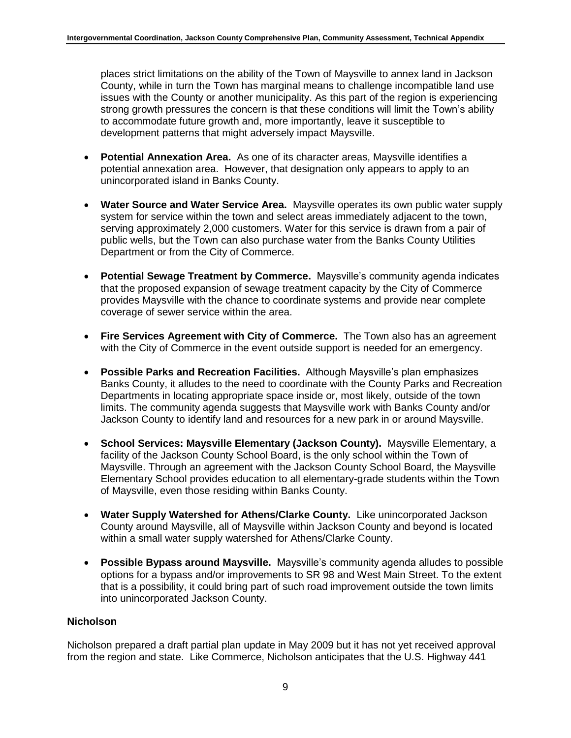places strict limitations on the ability of the Town of Maysville to annex land in Jackson County, while in turn the Town has marginal means to challenge incompatible land use issues with the County or another municipality. As this part of the region is experiencing strong growth pressures the concern is that these conditions will limit the Town's ability to accommodate future growth and, more importantly, leave it susceptible to development patterns that might adversely impact Maysville.

- **Potential Annexation Area.** As one of its character areas, Maysville identifies a potential annexation area. However, that designation only appears to apply to an unincorporated island in Banks County.
- **Water Source and Water Service Area.** Maysville operates its own public water supply system for service within the town and select areas immediately adjacent to the town, serving approximately 2,000 customers. Water for this service is drawn from a pair of public wells, but the Town can also purchase water from the Banks County Utilities Department or from the City of Commerce.
- **Potential Sewage Treatment by Commerce.** Maysville's community agenda indicates that the proposed expansion of sewage treatment capacity by the City of Commerce provides Maysville with the chance to coordinate systems and provide near complete coverage of sewer service within the area.
- **Fire Services Agreement with City of Commerce.** The Town also has an agreement with the City of Commerce in the event outside support is needed for an emergency.
- **Possible Parks and Recreation Facilities.** Although Maysville's plan emphasizes Banks County, it alludes to the need to coordinate with the County Parks and Recreation Departments in locating appropriate space inside or, most likely, outside of the town limits. The community agenda suggests that Maysville work with Banks County and/or Jackson County to identify land and resources for a new park in or around Maysville.
- **School Services: Maysville Elementary (Jackson County).** Maysville Elementary, a facility of the Jackson County School Board, is the only school within the Town of Maysville. Through an agreement with the Jackson County School Board, the Maysville Elementary School provides education to all elementary-grade students within the Town of Maysville, even those residing within Banks County.
- **Water Supply Watershed for Athens/Clarke County.** Like unincorporated Jackson County around Maysville, all of Maysville within Jackson County and beyond is located within a small water supply watershed for Athens/Clarke County.
- **Possible Bypass around Maysville.** Maysville's community agenda alludes to possible options for a bypass and/or improvements to SR 98 and West Main Street. To the extent that is a possibility, it could bring part of such road improvement outside the town limits into unincorporated Jackson County.

# **Nicholson**

Nicholson prepared a draft partial plan update in May 2009 but it has not yet received approval from the region and state. Like Commerce, Nicholson anticipates that the U.S. Highway 441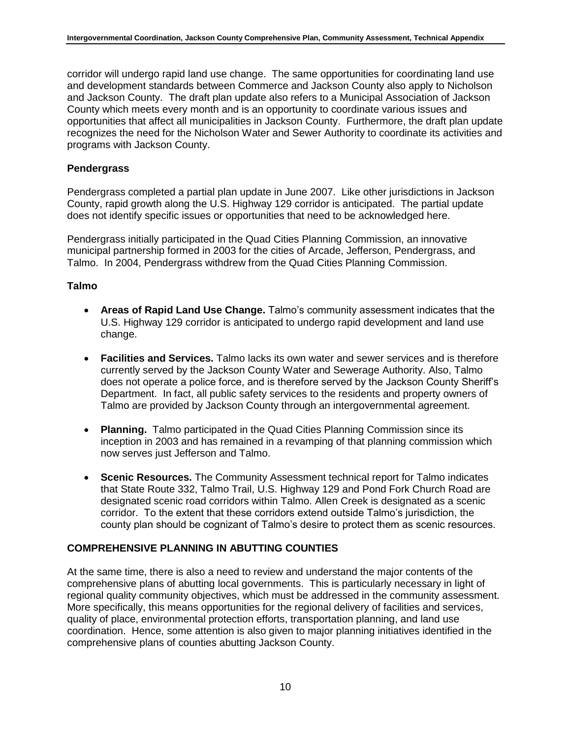corridor will undergo rapid land use change. The same opportunities for coordinating land use and development standards between Commerce and Jackson County also apply to Nicholson and Jackson County. The draft plan update also refers to a Municipal Association of Jackson County which meets every month and is an opportunity to coordinate various issues and opportunities that affect all municipalities in Jackson County. Furthermore, the draft plan update recognizes the need for the Nicholson Water and Sewer Authority to coordinate its activities and programs with Jackson County.

#### **Pendergrass**

Pendergrass completed a partial plan update in June 2007. Like other jurisdictions in Jackson County, rapid growth along the U.S. Highway 129 corridor is anticipated. The partial update does not identify specific issues or opportunities that need to be acknowledged here.

Pendergrass initially participated in the Quad Cities Planning Commission, an innovative municipal partnership formed in 2003 for the cities of Arcade, Jefferson, Pendergrass, and Talmo. In 2004, Pendergrass withdrew from the Quad Cities Planning Commission.

#### **Talmo**

- **Areas of Rapid Land Use Change.** Talmo's community assessment indicates that the U.S. Highway 129 corridor is anticipated to undergo rapid development and land use change.
- **Facilities and Services.** Talmo lacks its own water and sewer services and is therefore currently served by the Jackson County Water and Sewerage Authority. Also, Talmo does not operate a police force, and is therefore served by the Jackson County Sheriff's Department. In fact, all public safety services to the residents and property owners of Talmo are provided by Jackson County through an intergovernmental agreement.
- **Planning.** Talmo participated in the Quad Cities Planning Commission since its inception in 2003 and has remained in a revamping of that planning commission which now serves just Jefferson and Talmo.
- **Scenic Resources.** The Community Assessment technical report for Talmo indicates that State Route 332, Talmo Trail, U.S. Highway 129 and Pond Fork Church Road are designated scenic road corridors within Talmo. Allen Creek is designated as a scenic corridor. To the extent that these corridors extend outside Talmo's jurisdiction, the county plan should be cognizant of Talmo's desire to protect them as scenic resources.

# **COMPREHENSIVE PLANNING IN ABUTTING COUNTIES**

At the same time, there is also a need to review and understand the major contents of the comprehensive plans of abutting local governments. This is particularly necessary in light of regional quality community objectives, which must be addressed in the community assessment. More specifically, this means opportunities for the regional delivery of facilities and services, quality of place, environmental protection efforts, transportation planning, and land use coordination. Hence, some attention is also given to major planning initiatives identified in the comprehensive plans of counties abutting Jackson County.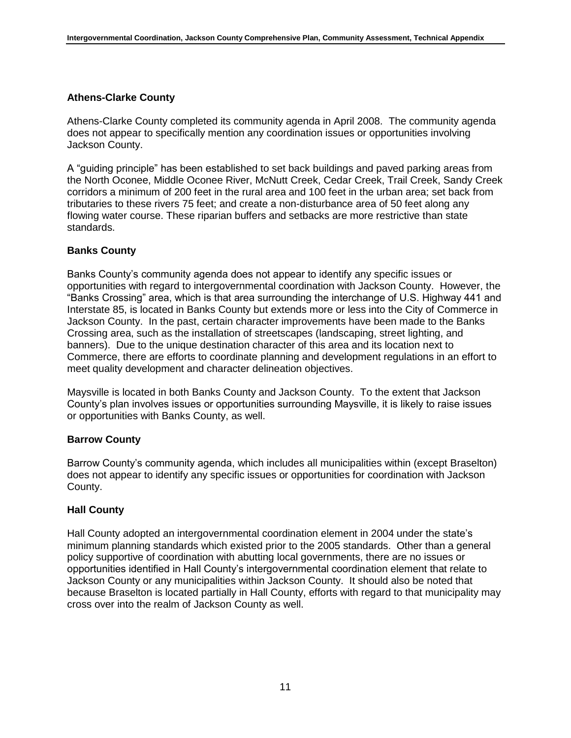# **Athens-Clarke County**

Athens-Clarke County completed its community agenda in April 2008. The community agenda does not appear to specifically mention any coordination issues or opportunities involving Jackson County.

A "guiding principle" has been established to set back buildings and paved parking areas from the North Oconee, Middle Oconee River, McNutt Creek, Cedar Creek, Trail Creek, Sandy Creek corridors a minimum of 200 feet in the rural area and 100 feet in the urban area; set back from tributaries to these rivers 75 feet; and create a non-disturbance area of 50 feet along any flowing water course. These riparian buffers and setbacks are more restrictive than state standards.

#### **Banks County**

Banks County's community agenda does not appear to identify any specific issues or opportunities with regard to intergovernmental coordination with Jackson County. However, the "Banks Crossing" area, which is that area surrounding the interchange of U.S. Highway 441 and Interstate 85, is located in Banks County but extends more or less into the City of Commerce in Jackson County. In the past, certain character improvements have been made to the Banks Crossing area, such as the installation of streetscapes (landscaping, street lighting, and banners). Due to the unique destination character of this area and its location next to Commerce, there are efforts to coordinate planning and development regulations in an effort to meet quality development and character delineation objectives.

Maysville is located in both Banks County and Jackson County. To the extent that Jackson County's plan involves issues or opportunities surrounding Maysville, it is likely to raise issues or opportunities with Banks County, as well.

#### **Barrow County**

Barrow County's community agenda, which includes all municipalities within (except Braselton) does not appear to identify any specific issues or opportunities for coordination with Jackson County.

#### **Hall County**

Hall County adopted an intergovernmental coordination element in 2004 under the state's minimum planning standards which existed prior to the 2005 standards. Other than a general policy supportive of coordination with abutting local governments, there are no issues or opportunities identified in Hall County's intergovernmental coordination element that relate to Jackson County or any municipalities within Jackson County. It should also be noted that because Braselton is located partially in Hall County, efforts with regard to that municipality may cross over into the realm of Jackson County as well.